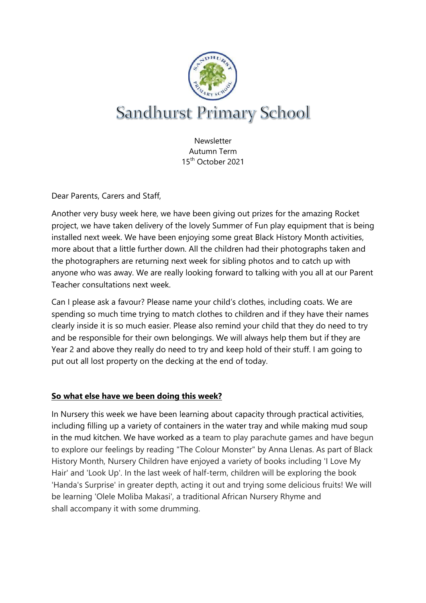

**Newsletter** Autumn Term 15th October 2021

Dear Parents, Carers and Staff,

Another very busy week here, we have been giving out prizes for the amazing Rocket project, we have taken delivery of the lovely Summer of Fun play equipment that is being installed next week. We have been enjoying some great Black History Month activities, more about that a little further down. All the children had their photographs taken and the photographers are returning next week for sibling photos and to catch up with anyone who was away. We are really looking forward to talking with you all at our Parent Teacher consultations next week.

Can I please ask a favour? Please name your child's clothes, including coats. We are spending so much time trying to match clothes to children and if they have their names clearly inside it is so much easier. Please also remind your child that they do need to try and be responsible for their own belongings. We will always help them but if they are Year 2 and above they really do need to try and keep hold of their stuff. I am going to put out all lost property on the decking at the end of today.

#### **So what else have we been doing this week?**

In Nursery this week we have been learning about capacity through practical activities, including filling up a variety of containers in the water tray and while making mud soup in the mud kitchen. We have worked as a team to play parachute games and have begun to explore our feelings by reading "The Colour Monster" by Anna Llenas. As part of Black History Month, Nursery Children have enjoyed a variety of books including 'I Love My Hair' and 'Look Up'. In the last week of half-term, children will be exploring the book 'Handa's Surprise' in greater depth, acting it out and trying some delicious fruits! We will be learning 'Olele Moliba Makasi', a traditional African Nursery Rhyme and shall accompany it with some drumming.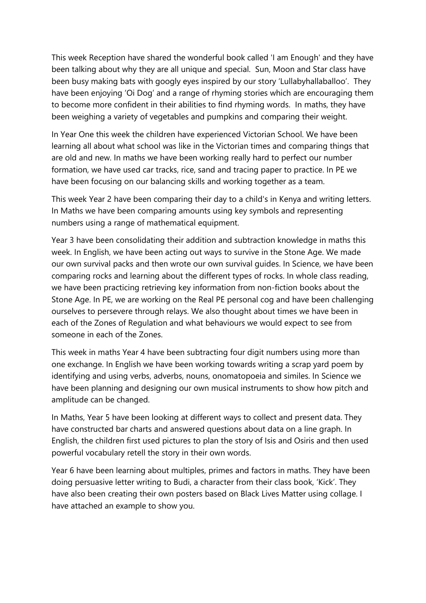This week Reception have shared the wonderful book called 'I am Enough' and they have been talking about why they are all unique and special. Sun, Moon and Star class have been busy making bats with googly eyes inspired by our story 'Lullabyhallaballoo'. They have been enjoying 'Oi Dog' and a range of rhyming stories which are encouraging them to become more confident in their abilities to find rhyming words. In maths, they have been weighing a variety of vegetables and pumpkins and comparing their weight.

In Year One this week the children have experienced Victorian School. We have been learning all about what school was like in the Victorian times and comparing things that are old and new. In maths we have been working really hard to perfect our number formation, we have used car tracks, rice, sand and tracing paper to practice. In PE we have been focusing on our balancing skills and working together as a team.

This week Year 2 have been comparing their day to a child's in Kenya and writing letters. In Maths we have been comparing amounts using key symbols and representing numbers using a range of mathematical equipment.

Year 3 have been consolidating their addition and subtraction knowledge in maths this week. In English, we have been acting out ways to survive in the Stone Age. We made our own survival packs and then wrote our own survival guides. In Science, we have been comparing rocks and learning about the different types of rocks. In whole class reading, we have been practicing retrieving key information from non-fiction books about the Stone Age. In PE, we are working on the Real PE personal cog and have been challenging ourselves to persevere through relays. We also thought about times we have been in each of the Zones of Regulation and what behaviours we would expect to see from someone in each of the Zones.

This week in maths Year 4 have been subtracting four digit numbers using more than one exchange. In English we have been working towards writing a scrap yard poem by identifying and using verbs, adverbs, nouns, onomatopoeia and similes. In Science we have been planning and designing our own musical instruments to show how pitch and amplitude can be changed.

In Maths, Year 5 have been looking at different ways to collect and present data. They have constructed bar charts and answered questions about data on a line graph. In English, the children first used pictures to plan the story of Isis and Osiris and then used powerful vocabulary retell the story in their own words.

Year 6 have been learning about multiples, primes and factors in maths. They have been doing persuasive letter writing to Budi, a character from their class book, 'Kick'. They have also been creating their own posters based on Black Lives Matter using collage. I have attached an example to show you.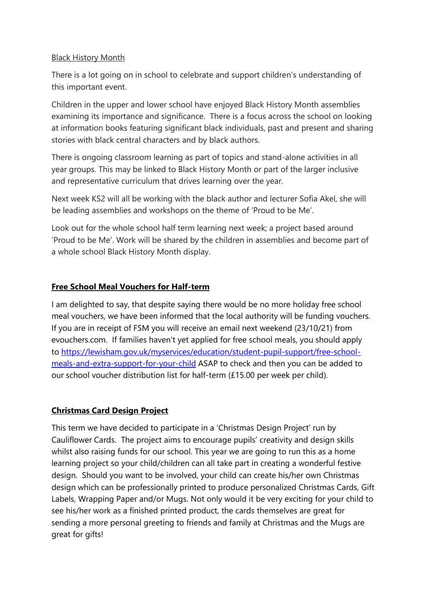#### Black History Month

There is a lot going on in school to celebrate and support children's understanding of this important event.

Children in the upper and lower school have enjoyed Black History Month assemblies examining its importance and significance. There is a focus across the school on looking at information books featuring significant black individuals, past and present and sharing stories with black central characters and by black authors.

There is ongoing classroom learning as part of topics and stand-alone activities in all year groups. This may be linked to Black History Month or part of the larger inclusive and representative curriculum that drives learning over the year.

Next week KS2 will all be working with the black author and lecturer Sofia Akel, she will be leading assemblies and workshops on the theme of 'Proud to be Me'.

Look out for the whole school half term learning next week; a project based around 'Proud to be Me'. Work will be shared by the children in assemblies and become part of a whole school Black History Month display.

## **Free School Meal Vouchers for Half-term**

I am delighted to say, that despite saying there would be no more holiday free school meal vouchers, we have been informed that the local authority will be funding vouchers. If you are in receipt of FSM you will receive an email next weekend (23/10/21) from evouchers.com. If families haven't yet applied for free school meals, you should apply to [https://lewisham.gov.uk/myservices/education/student-pupil-support/free-school](https://lewisham.gov.uk/myservices/education/student-pupil-support/free-school-meals-and-extra-support-for-your-child)[meals-and-extra-support-for-your-child](https://lewisham.gov.uk/myservices/education/student-pupil-support/free-school-meals-and-extra-support-for-your-child) ASAP to check and then you can be added to our school voucher distribution list for half-term (£15.00 per week per child).

## **Christmas Card Design Project**

This term we have decided to participate in a 'Christmas Design Project' run by Cauliflower Cards. The project aims to encourage pupils' creativity and design skills whilst also raising funds for our school. This year we are going to run this as a home learning project so your child/children can all take part in creating a wonderful festive design. Should you want to be involved, your child can create his/her own Christmas design which can be professionally printed to produce personalized Christmas Cards, Gift Labels, Wrapping Paper and/or Mugs. Not only would it be very exciting for your child to see his/her work as a finished printed product, the cards themselves are great for sending a more personal greeting to friends and family at Christmas and the Mugs are great for gifts!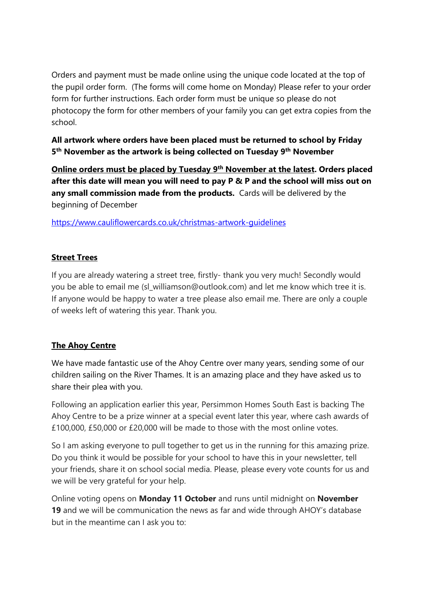Orders and payment must be made online using the unique code located at the top of the pupil order form. (The forms will come home on Monday) Please refer to your order form for further instructions. Each order form must be unique so please do not photocopy the form for other members of your family you can get extra copies from the school.

**All artwork where orders have been placed must be returned to school by Friday 5 th November as the artwork is being collected on Tuesday 9th November** 

**Online orders must be placed by Tuesday 9th November at the latest. Orders placed after this date will mean you will need to pay P & P and the school will miss out on any small commission made from the products.** Cards will be delivered by the beginning of December

<https://www.cauliflowercards.co.uk/christmas-artwork-guidelines>

## **Street Trees**

If you are already watering a street tree, firstly- thank you very much! Secondly would you be able to email me (sl\_williamson@outlook.com) and let me know which tree it is. If anyone would be happy to water a tree please also email me. There are only a couple of weeks left of watering this year. Thank you.

# **The Ahoy Centre**

We have made fantastic use of the Ahoy Centre over many years, sending some of our children sailing on the River Thames. It is an amazing place and they have asked us to share their plea with you.

Following an application earlier this year, Persimmon Homes South East is backing The Ahoy Centre to be a prize winner at a special event later this year, where cash awards of £100,000, £50,000 or £20,000 will be made to those with the most online votes.

So I am asking everyone to pull together to get us in the running for this amazing prize. Do you think it would be possible for your school to have this in your newsletter, tell your friends, share it on school social media. Please, please every vote counts for us and we will be very grateful for your help.

Online voting opens on **Monday 11 October** and runs until midnight on **November 19** and we will be communication the news as far and wide through AHOY's database but in the meantime can I ask you to: